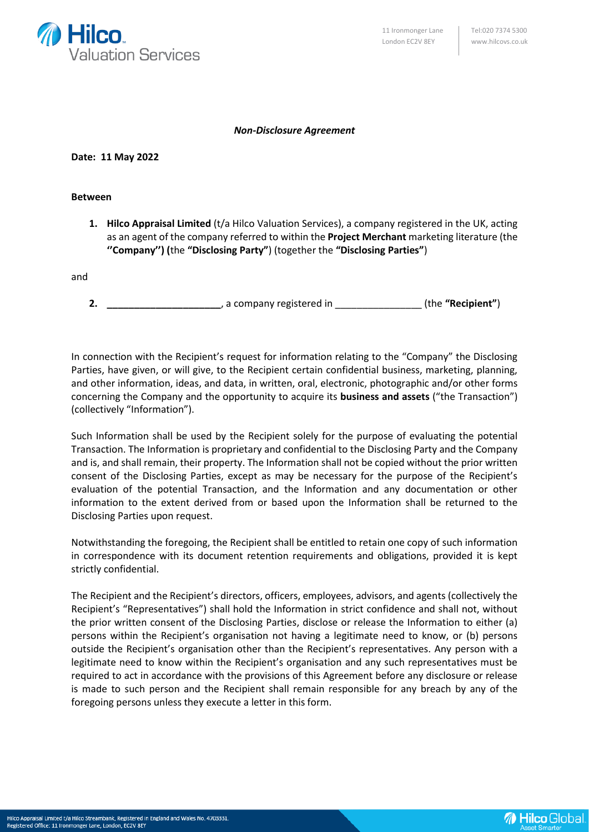

## *Non-Disclosure Agreement*

## **Date: 11 May 2022**

## **Between**

**1. Hilco Appraisal Limited** (t/a Hilco Valuation Services), a company registered in the UK, acting as an agent of the company referred to within the **Project Merchant** marketing literature (the **''Company'') (**the **"Disclosing Party"**) (together the **"Disclosing Parties"**)

and

**2. \_\_\_\_\_\_\_\_\_\_\_\_\_\_\_\_\_\_\_\_\_**, a company registered in \_\_\_\_\_\_\_\_\_\_\_\_\_\_\_\_ (the **"Recipient"**)

In connection with the Recipient's request for information relating to the "Company" the Disclosing Parties, have given, or will give, to the Recipient certain confidential business, marketing, planning, and other information, ideas, and data, in written, oral, electronic, photographic and/or other forms concerning the Company and the opportunity to acquire its **business and assets** ("the Transaction") (collectively "Information").

Such Information shall be used by the Recipient solely for the purpose of evaluating the potential Transaction. The Information is proprietary and confidential to the Disclosing Party and the Company and is, and shall remain, their property. The Information shall not be copied without the prior written consent of the Disclosing Parties, except as may be necessary for the purpose of the Recipient's evaluation of the potential Transaction, and the Information and any documentation or other information to the extent derived from or based upon the Information shall be returned to the Disclosing Parties upon request.

Notwithstanding the foregoing, the Recipient shall be entitled to retain one copy of such information in correspondence with its document retention requirements and obligations, provided it is kept strictly confidential.

The Recipient and the Recipient's directors, officers, employees, advisors, and agents (collectively the Recipient's "Representatives") shall hold the Information in strict confidence and shall not, without the prior written consent of the Disclosing Parties, disclose or release the Information to either (a) persons within the Recipient's organisation not having a legitimate need to know, or (b) persons outside the Recipient's organisation other than the Recipient's representatives. Any person with a legitimate need to know within the Recipient's organisation and any such representatives must be required to act in accordance with the provisions of this Agreement before any disclosure or release is made to such person and the Recipient shall remain responsible for any breach by any of the foregoing persons unless they execute a letter in this form.